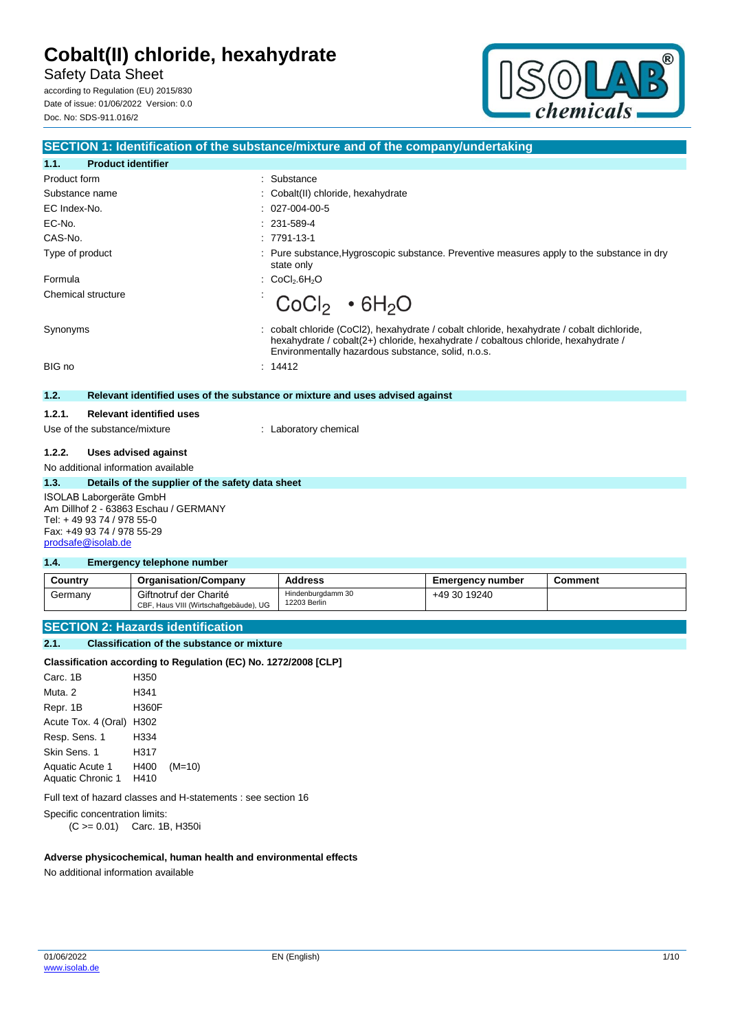Safety Data Sheet

according to Regulation (EU) 2015/830 Date of issue: 01/06/2022 Version: 0.0 Doc. No: SDS-911.016/2



|                                                                                                                                                   | <b>SECTION 1: Identification of the substance/mixture and of the company/undertaking</b>                                                                                                                                             |
|---------------------------------------------------------------------------------------------------------------------------------------------------|--------------------------------------------------------------------------------------------------------------------------------------------------------------------------------------------------------------------------------------|
| <b>Product identifier</b><br>1.1.                                                                                                                 |                                                                                                                                                                                                                                      |
| Product form                                                                                                                                      | Substance<br>$\bullet$                                                                                                                                                                                                               |
| Substance name                                                                                                                                    | Cobalt(II) chloride, hexahydrate                                                                                                                                                                                                     |
| EC Index-No.                                                                                                                                      | 027-004-00-5                                                                                                                                                                                                                         |
| EC-No.                                                                                                                                            | 231-589-4                                                                                                                                                                                                                            |
| CAS-No.                                                                                                                                           | $: 7791 - 13 - 1$                                                                                                                                                                                                                    |
| Type of product                                                                                                                                   | Pure substance, Hygroscopic substance. Preventive measures apply to the substance in dry<br>state only                                                                                                                               |
| Formula                                                                                                                                           | CoCl <sub>2</sub> .6H <sub>2</sub> O                                                                                                                                                                                                 |
| Chemical structure                                                                                                                                | CoCl <sub>2</sub> • 6H <sub>2</sub> O                                                                                                                                                                                                |
| Synonyms                                                                                                                                          | cobalt chloride (CoCl2), hexahydrate / cobalt chloride, hexahydrate / cobalt dichloride,<br>hexahydrate / cobalt(2+) chloride, hexahydrate / cobaltous chloride, hexahydrate /<br>Environmentally hazardous substance, solid, n.o.s. |
| BIG no                                                                                                                                            | : 14412                                                                                                                                                                                                                              |
| 1.2.                                                                                                                                              | Relevant identified uses of the substance or mixture and uses advised against                                                                                                                                                        |
| <b>Relevant identified uses</b><br>1.2.1.                                                                                                         |                                                                                                                                                                                                                                      |
| Use of the substance/mixture                                                                                                                      | : Laboratory chemical                                                                                                                                                                                                                |
| <b>Uses advised against</b><br>1.2.2.                                                                                                             |                                                                                                                                                                                                                                      |
| No additional information available                                                                                                               |                                                                                                                                                                                                                                      |
| 1.3.<br>Details of the supplier of the safety data sheet                                                                                          |                                                                                                                                                                                                                                      |
| ISOLAB Laborgeräte GmbH<br>Am Dillhof 2 - 63863 Eschau / GERMANY<br>Tel: +49 93 74 / 978 55-0<br>Fax: +49 93 74 / 978 55-29<br>prodsafe@isolab.de |                                                                                                                                                                                                                                      |

#### **1.4. Emergency telephone number**

| Country | <b>Organisation/Company</b>                                      | <b>Address</b>                    | <b>Emergency number</b> | <b>Comment</b> |
|---------|------------------------------------------------------------------|-----------------------------------|-------------------------|----------------|
| Germany | Giftnotruf der Charité<br>CBF, Haus VIII (Wirtschaftgebäude), UG | Hindenburgdamm 30<br>12203 Berlin | +49 30 19240            |                |

### **SECTION 2: Hazards identification**

### **2.1. Classification of the substance or mixture**

| Classification according to Regulation (EC) No. 1272/2008 [CLP] |              |  |
|-----------------------------------------------------------------|--------------|--|
| Carc. 1B                                                        | H350         |  |
| Muta, 2                                                         | H341         |  |
| Repr. 1B                                                        | <b>H360F</b> |  |
| Acute Tox. 4 (Oral) H302                                        |              |  |
| Resp. Sens. 1                                                   | H334         |  |

Full text of hazard classes and H-statements : see section 16

Specific concentration limits:

Skin Sens. 1 H317

Aquatic Chronic 1 H410

(C >= 0.01) Carc. 1B, H350i

Aquatic Acute 1 H400 (M=10)

#### **Adverse physicochemical, human health and environmental effects**

No additional information available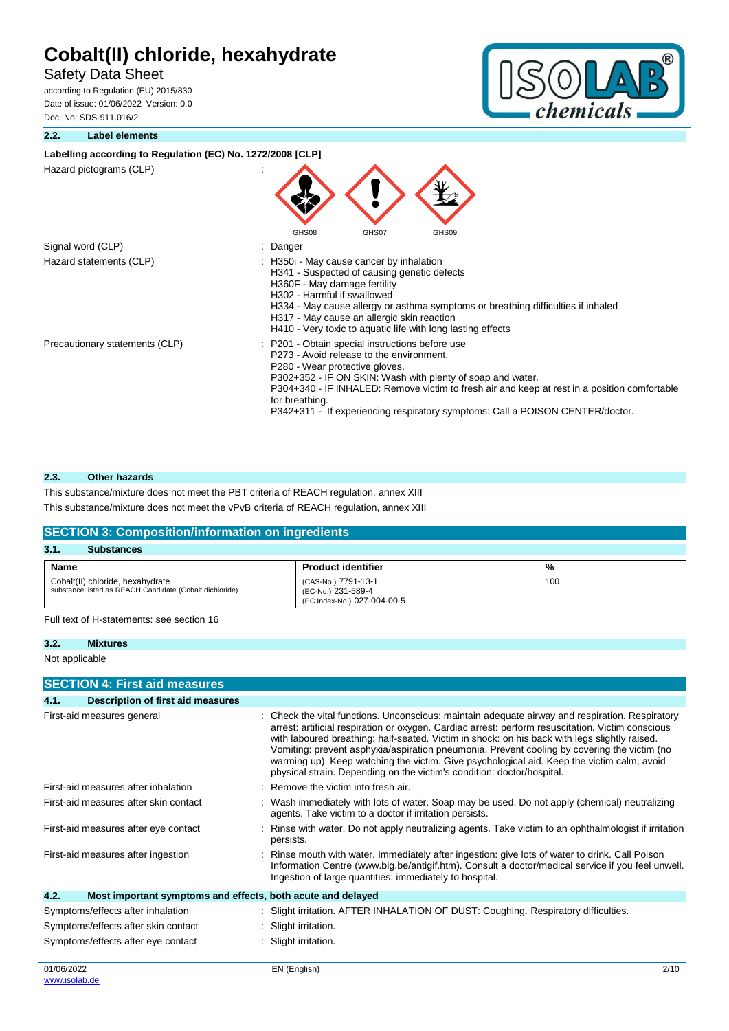# Safety Data Sheet

according to Regulation (EU) 2015/830 Date of issue: 01/06/2022 Version: 0.0 Doc. No: SDS-911.016/2

### **2.2. Label elements**



| Labelling according to Regulation (EC) No. 1272/2008 [CLP] |                                                                                                                                                                                                                                                                                                                                                                                                |  |
|------------------------------------------------------------|------------------------------------------------------------------------------------------------------------------------------------------------------------------------------------------------------------------------------------------------------------------------------------------------------------------------------------------------------------------------------------------------|--|
| Hazard pictograms (CLP)                                    |                                                                                                                                                                                                                                                                                                                                                                                                |  |
|                                                            | GHS08<br>GHS07<br>GHS09                                                                                                                                                                                                                                                                                                                                                                        |  |
| Signal word (CLP)                                          | : Danger                                                                                                                                                                                                                                                                                                                                                                                       |  |
| Hazard statements (CLP)                                    | : H350i - May cause cancer by inhalation<br>H341 - Suspected of causing genetic defects<br>H360F - May damage fertility<br>H302 - Harmful if swallowed<br>H334 - May cause allergy or asthma symptoms or breathing difficulties if inhaled<br>H317 - May cause an allergic skin reaction<br>H410 - Very toxic to aquatic life with long lasting effects                                        |  |
| Precautionary statements (CLP)                             | : P201 - Obtain special instructions before use<br>P273 - Avoid release to the environment.<br>P280 - Wear protective gloves.<br>P302+352 - IF ON SKIN: Wash with plenty of soap and water.<br>P304+340 - IF INHALED: Remove victim to fresh air and keep at rest in a position comfortable<br>for breathing.<br>P342+311 - If experiencing respiratory symptoms: Call a POISON CENTER/doctor. |  |

### **2.3. Other hazards**

This substance/mixture does not meet the PBT criteria of REACH regulation, annex XIII

This substance/mixture does not meet the vPvB criteria of REACH regulation, annex XIII

### **SECTION 3: Composition/information on ingredients 3.1. Substances Name Product identifier Product identifier 1** %

| Cobalt(II) chloride, hexahydrate<br>substance listed as REACH Candidate (Cobalt dichloride) | (CAS-No.) 7791-13-1<br>(EC-No.) 231-589-4 | 100 |
|---------------------------------------------------------------------------------------------|-------------------------------------------|-----|
|                                                                                             | (EC Index-No.) 027-004-00-5               |     |

Full text of H-statements: see section 16

```
3.2. Mixtures
```
Not applicable

### **SECTION 4: First aid measures**

| 4.1. | Description of first aid measures                           |                                                                                                                                                                                                                                                                                                                                                                                                                                                                                                                                                                              |
|------|-------------------------------------------------------------|------------------------------------------------------------------------------------------------------------------------------------------------------------------------------------------------------------------------------------------------------------------------------------------------------------------------------------------------------------------------------------------------------------------------------------------------------------------------------------------------------------------------------------------------------------------------------|
|      | First-aid measures general                                  | : Check the vital functions. Unconscious: maintain adequate airway and respiration. Respiratory<br>arrest: artificial respiration or oxygen. Cardiac arrest: perform resuscitation. Victim conscious<br>with laboured breathing: half-seated. Victim in shock: on his back with legs slightly raised.<br>Vomiting: prevent asphyxia/aspiration pneumonia. Prevent cooling by covering the victim (no<br>warming up). Keep watching the victim. Give psychological aid. Keep the victim calm, avoid<br>physical strain. Depending on the victim's condition: doctor/hospital. |
|      | First-aid measures after inhalation                         | : Remove the victim into fresh air.                                                                                                                                                                                                                                                                                                                                                                                                                                                                                                                                          |
|      | First-aid measures after skin contact                       | : Wash immediately with lots of water. Soap may be used. Do not apply (chemical) neutralizing<br>agents. Take victim to a doctor if irritation persists.                                                                                                                                                                                                                                                                                                                                                                                                                     |
|      | First-aid measures after eye contact                        | : Rinse with water. Do not apply neutralizing agents. Take victim to an ophthalmologist if irritation<br>persists.                                                                                                                                                                                                                                                                                                                                                                                                                                                           |
|      | First-aid measures after ingestion                          | : Rinse mouth with water. Immediately after ingestion: give lots of water to drink. Call Poison<br>Information Centre (www.big.be/antigif.htm). Consult a doctor/medical service if you feel unwell.<br>Ingestion of large quantities: immediately to hospital.                                                                                                                                                                                                                                                                                                              |
| 4.2. | Most important symptoms and effects, both acute and delayed |                                                                                                                                                                                                                                                                                                                                                                                                                                                                                                                                                                              |
|      | Symptoms/effects after inhalation                           | : Slight irritation. AFTER INHALATION OF DUST: Coughing. Respiratory difficulties.                                                                                                                                                                                                                                                                                                                                                                                                                                                                                           |
|      | Symptoms/effects after skin contact                         | : Slight irritation.                                                                                                                                                                                                                                                                                                                                                                                                                                                                                                                                                         |
|      | Symptoms/effects after eye contact                          | : Slight irritation.                                                                                                                                                                                                                                                                                                                                                                                                                                                                                                                                                         |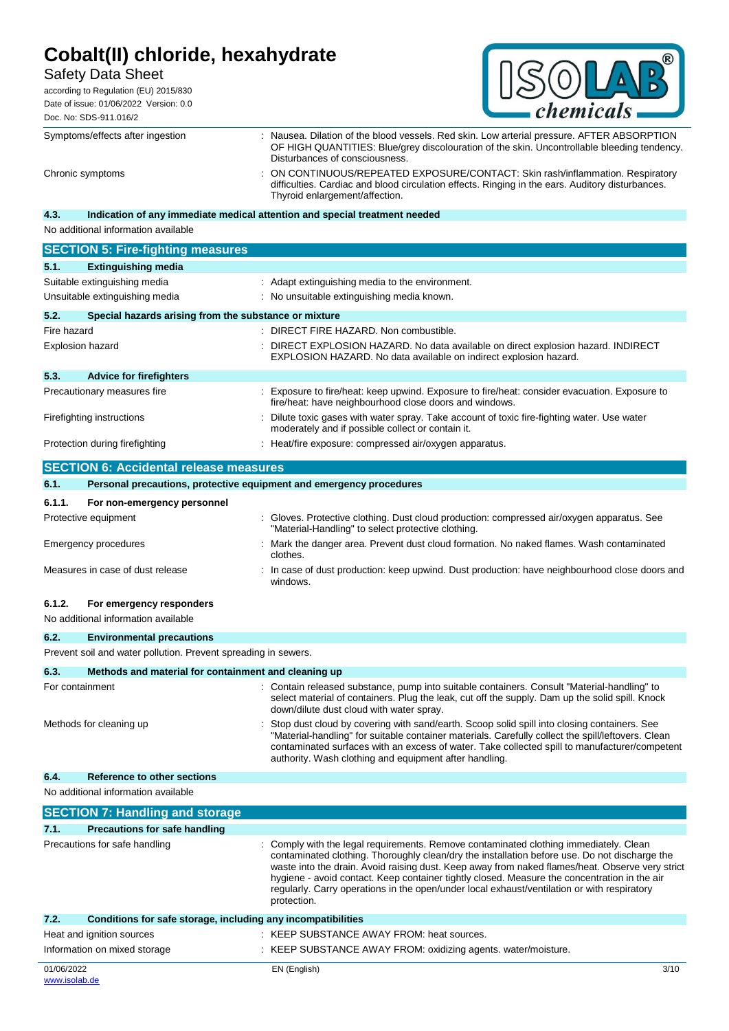# Safety Data Sheet

according to Regulation (EU) 2015/830 Date of issue: 01/06/2022 Version: 0.0 Doc. No: SDS-911.016/2



|             | Symptoms/effects after ingestion                      | : Nausea. Dilation of the blood vessels. Red skin. Low arterial pressure. AFTER ABSORPTION<br>OF HIGH QUANTITIES: Blue/grey discolouration of the skin. Uncontrollable bleeding tendency.<br>Disturbances of consciousness. |
|-------------|-------------------------------------------------------|-----------------------------------------------------------------------------------------------------------------------------------------------------------------------------------------------------------------------------|
|             | Chronic symptoms                                      | ON CONTINUOUS/REPEATED EXPOSURE/CONTACT: Skin rash/inflammation. Respiratory<br>difficulties. Cardiac and blood circulation effects. Ringing in the ears. Auditory disturbances.<br>Thyroid enlargement/affection.          |
| 4.3.        |                                                       | Indication of any immediate medical attention and special treatment needed                                                                                                                                                  |
|             | No additional information available                   |                                                                                                                                                                                                                             |
|             | <b>SECTION 5: Fire-fighting measures</b>              |                                                                                                                                                                                                                             |
| 5.1.        | <b>Extinguishing media</b>                            |                                                                                                                                                                                                                             |
|             | Suitable extinguishing media                          | : Adapt extinguishing media to the environment.                                                                                                                                                                             |
|             | Unsuitable extinguishing media                        | : No unsuitable extinguishing media known.                                                                                                                                                                                  |
| 5.2.        | Special hazards arising from the substance or mixture |                                                                                                                                                                                                                             |
| Fire hazard |                                                       | : DIRECT FIRE HAZARD. Non combustible.                                                                                                                                                                                      |
|             | <b>Explosion hazard</b>                               | DIRECT EXPLOSION HAZARD. No data available on direct explosion hazard. INDIRECT<br>EXPLOSION HAZARD. No data available on indirect explosion hazard.                                                                        |
| 5.3.        | <b>Advice for firefighters</b>                        |                                                                                                                                                                                                                             |
|             | Precautionary measures fire                           | Exposure to fire/heat: keep upwind. Exposure to fire/heat: consider evacuation. Exposure to<br>fire/heat: have neighbourhood close doors and windows.                                                                       |
|             | Firefighting instructions                             | Dilute toxic gases with water spray. Take account of toxic fire-fighting water. Use water<br>moderately and if possible collect or contain it.                                                                              |
|             | Protection during firefighting                        | : Heat/fire exposure: compressed air/oxygen apparatus.                                                                                                                                                                      |
|             | <b>SECTION 6: Accidental release measures</b>         |                                                                                                                                                                                                                             |
| 6.1.        |                                                       | Personal precautions, protective equipment and emergency procedures                                                                                                                                                         |
| 6.1.1.      | For non-emergency personnel                           |                                                                                                                                                                                                                             |
|             | Protective equipment                                  | Gloves. Protective clothing. Dust cloud production: compressed air/oxygen apparatus. See<br>"Material-Handling" to select protective clothing.                                                                              |
|             | <b>Emergency procedures</b>                           | Mark the danger area. Prevent dust cloud formation. No naked flames. Wash contaminated<br>clothes.                                                                                                                          |

### Measures in case of dust release : In case of dust production: keep upwind. Dust production: have neighbourhood close doors and windows.

### **6.1.2. For emergency responders**

| No additional information available |                                                                |  |                                                                                                                                                                                                                                                                                                                                                                |
|-------------------------------------|----------------------------------------------------------------|--|----------------------------------------------------------------------------------------------------------------------------------------------------------------------------------------------------------------------------------------------------------------------------------------------------------------------------------------------------------------|
| 6.2.                                | <b>Environmental precautions</b>                               |  |                                                                                                                                                                                                                                                                                                                                                                |
|                                     | Prevent soil and water pollution. Prevent spreading in sewers. |  |                                                                                                                                                                                                                                                                                                                                                                |
| 6.3.                                | Methods and material for containment and cleaning up           |  |                                                                                                                                                                                                                                                                                                                                                                |
| For containment                     |                                                                |  | : Contain released substance, pump into suitable containers. Consult "Material-handling" to<br>select material of containers. Plug the leak, cut off the supply. Dam up the solid spill. Knock<br>down/dilute dust cloud with water spray.                                                                                                                     |
|                                     | Methods for cleaning up                                        |  | : Stop dust cloud by covering with sand/earth. Scoop solid spill into closing containers. See<br>"Material-handling" for suitable container materials. Carefully collect the spill/leftovers. Clean<br>contaminated surfaces with an excess of water. Take collected spill to manufacturer/competent<br>authority. Wash clothing and equipment after handling. |
| 6.4.                                | <b>Reference to other sections</b>                             |  |                                                                                                                                                                                                                                                                                                                                                                |
|                                     | No additional information available                            |  |                                                                                                                                                                                                                                                                                                                                                                |

| <b>SECTION 7: Handling and storage</b>                               |                                                                                                                                                                                                                                                                                                                                                                                                                                                                                                         |
|----------------------------------------------------------------------|---------------------------------------------------------------------------------------------------------------------------------------------------------------------------------------------------------------------------------------------------------------------------------------------------------------------------------------------------------------------------------------------------------------------------------------------------------------------------------------------------------|
| <b>Precautions for safe handling</b><br>7.1.                         |                                                                                                                                                                                                                                                                                                                                                                                                                                                                                                         |
| Precautions for safe handling                                        | : Comply with the legal requirements. Remove contaminated clothing immediately. Clean<br>contaminated clothing. Thoroughly clean/dry the installation before use. Do not discharge the<br>waste into the drain. Avoid raising dust. Keep away from naked flames/heat. Observe very strict<br>hygiene - avoid contact. Keep container tightly closed. Measure the concentration in the air<br>regularly. Carry operations in the open/under local exhaust/ventilation or with respiratory<br>protection. |
| Conditions for safe storage, including any incompatibilities<br>7.2. |                                                                                                                                                                                                                                                                                                                                                                                                                                                                                                         |
| Heat and ignition sources                                            | : KEEP SUBSTANCE AWAY FROM: heat sources.                                                                                                                                                                                                                                                                                                                                                                                                                                                               |
| Information on mixed storage                                         | : KEEP SUBSTANCE AWAY FROM: oxidizing agents. water/moisture.                                                                                                                                                                                                                                                                                                                                                                                                                                           |
| 01/06/2022<br>www.isolab.de                                          | 3/10<br>EN (English)                                                                                                                                                                                                                                                                                                                                                                                                                                                                                    |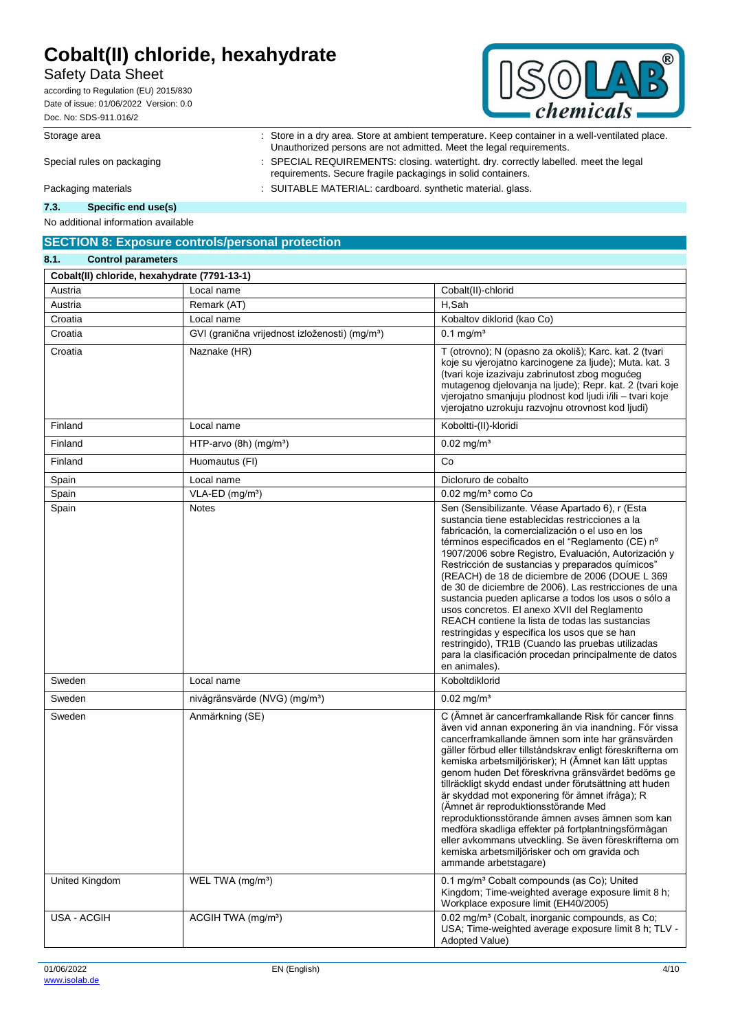## Safety Data Sheet

according to Regulation (EU) 2015/830 Date of issue: 01/06/2022 Version: 0.0 Doc. No: SDS-911.016/2



Storage area : Store in a dry area. Store at ambient temperature. Keep container in a well-ventilated place.

Unauthorized persons are not admitted. Meet the legal requirements. Special rules on packaging : SPECIAL REQUIREMENTS: closing. watertight. dry. correctly labelled. meet the legal requirements. Secure fragile packagings in solid containers. Packaging materials **in the case of the COVITABLE MATERIAL:** cardboard. synthetic material. glass.

**7.3. Specific end use(s)**

No additional information available

### **SECTION 8: Exposure controls/personal protection**

| 8.1.<br><b>Control parameters</b>            |                                                            |                                                                                                                                                                                                                                                                                                                                                                                                                                                                                                                                                                                                                                                                                                                                                                               |
|----------------------------------------------|------------------------------------------------------------|-------------------------------------------------------------------------------------------------------------------------------------------------------------------------------------------------------------------------------------------------------------------------------------------------------------------------------------------------------------------------------------------------------------------------------------------------------------------------------------------------------------------------------------------------------------------------------------------------------------------------------------------------------------------------------------------------------------------------------------------------------------------------------|
| Cobalt(II) chloride, hexahydrate (7791-13-1) |                                                            |                                                                                                                                                                                                                                                                                                                                                                                                                                                                                                                                                                                                                                                                                                                                                                               |
| Austria                                      | Local name                                                 | Cobalt(II)-chlorid                                                                                                                                                                                                                                                                                                                                                                                                                                                                                                                                                                                                                                                                                                                                                            |
| Austria                                      | Remark (AT)                                                | H,Sah                                                                                                                                                                                                                                                                                                                                                                                                                                                                                                                                                                                                                                                                                                                                                                         |
| Croatia                                      | Local name                                                 | Kobaltov diklorid (kao Co)                                                                                                                                                                                                                                                                                                                                                                                                                                                                                                                                                                                                                                                                                                                                                    |
| Croatia                                      | GVI (granična vrijednost izloženosti) (mg/m <sup>3</sup> ) | $0.1$ mg/m <sup>3</sup>                                                                                                                                                                                                                                                                                                                                                                                                                                                                                                                                                                                                                                                                                                                                                       |
| Croatia                                      | Naznake (HR)                                               | T (otrovno); N (opasno za okoliš); Karc. kat. 2 (tvari<br>koje su vjerojatno karcinogene za ljude); Muta. kat. 3<br>(tvari koje izazivaju zabrinutost zbog mogućeg<br>mutagenog djelovanja na ljude); Repr. kat. 2 (tvari koje<br>vjerojatno smanjuju plodnost kod ljudi i/ili - tvari koje<br>vjerojatno uzrokuju razvojnu otrovnost kod ljudi)                                                                                                                                                                                                                                                                                                                                                                                                                              |
| Finland                                      | Local name                                                 | Koboltti-(II)-kloridi                                                                                                                                                                                                                                                                                                                                                                                                                                                                                                                                                                                                                                                                                                                                                         |
| Finland                                      | HTP-arvo $(8h)$ (mg/m <sup>3</sup> )                       | $0.02$ mg/m <sup>3</sup>                                                                                                                                                                                                                                                                                                                                                                                                                                                                                                                                                                                                                                                                                                                                                      |
| Finland                                      | Huomautus (FI)                                             | Co                                                                                                                                                                                                                                                                                                                                                                                                                                                                                                                                                                                                                                                                                                                                                                            |
| Spain                                        | Local name                                                 | Dicloruro de cobalto                                                                                                                                                                                                                                                                                                                                                                                                                                                                                                                                                                                                                                                                                                                                                          |
| Spain                                        | $VLA-ED$ (mg/m <sup>3</sup> )                              | 0.02 mg/m <sup>3</sup> como Co                                                                                                                                                                                                                                                                                                                                                                                                                                                                                                                                                                                                                                                                                                                                                |
| Spain                                        | <b>Notes</b>                                               | Sen (Sensibilizante. Véase Apartado 6), r (Esta<br>sustancia tiene establecidas restricciones a la<br>fabricación, la comercialización o el uso en los<br>términos especificados en el "Reglamento (CE) nº<br>1907/2006 sobre Registro, Evaluación, Autorización y<br>Restricción de sustancias y preparados químicos"<br>(REACH) de 18 de diciembre de 2006 (DOUE L 369<br>de 30 de diciembre de 2006). Las restricciones de una<br>sustancia pueden aplicarse a todos los usos o sólo a<br>usos concretos. El anexo XVII del Reglamento<br>REACH contiene la lista de todas las sustancias<br>restringidas y especifica los usos que se han<br>restringido), TR1B (Cuando las pruebas utilizadas<br>para la clasificación procedan principalmente de datos<br>en animales). |
| Sweden                                       | Local name                                                 | Koboltdiklorid                                                                                                                                                                                                                                                                                                                                                                                                                                                                                                                                                                                                                                                                                                                                                                |
| Sweden                                       | nivågränsvärde (NVG) (mg/m <sup>3</sup> )                  | $0.02 \text{ mg/m}^3$                                                                                                                                                                                                                                                                                                                                                                                                                                                                                                                                                                                                                                                                                                                                                         |
| Sweden                                       | Anmärkning (SE)                                            | C (Ämnet är cancerframkallande Risk för cancer finns<br>även vid annan exponering än via inandning. För vissa<br>cancerframkallande ämnen som inte har gränsvärden<br>gäller förbud eller tillståndskrav enligt föreskrifterna om<br>kemiska arbetsmiljörisker); H (Ämnet kan lätt upptas<br>genom huden Det föreskrivna gränsvärdet bedöms ge<br>tillräckligt skydd endast under förutsättning att huden<br>är skyddad mot exponering för ämnet ifråga); R<br>(Ämnet är reproduktionsstörande Med<br>reproduktionsstörande ämnen avses ämnen som kan<br>medföra skadliga effekter på fortplantningsförmågan<br>eller avkommans utveckling. Se även föreskrifterna om<br>kemiska arbetsmiljörisker och om gravida och<br>ammande arbetstagare)                                |
| United Kingdom                               | WEL TWA (mg/m <sup>3</sup> )                               | 0.1 mg/m <sup>3</sup> Cobalt compounds (as Co); United<br>Kingdom; Time-weighted average exposure limit 8 h;<br>Workplace exposure limit (EH40/2005)                                                                                                                                                                                                                                                                                                                                                                                                                                                                                                                                                                                                                          |
| USA - ACGIH                                  | ACGIH TWA (mg/m <sup>3</sup> )                             | 0.02 mg/m <sup>3</sup> (Cobalt, inorganic compounds, as Co;<br>USA; Time-weighted average exposure limit 8 h; TLV -<br>Adopted Value)                                                                                                                                                                                                                                                                                                                                                                                                                                                                                                                                                                                                                                         |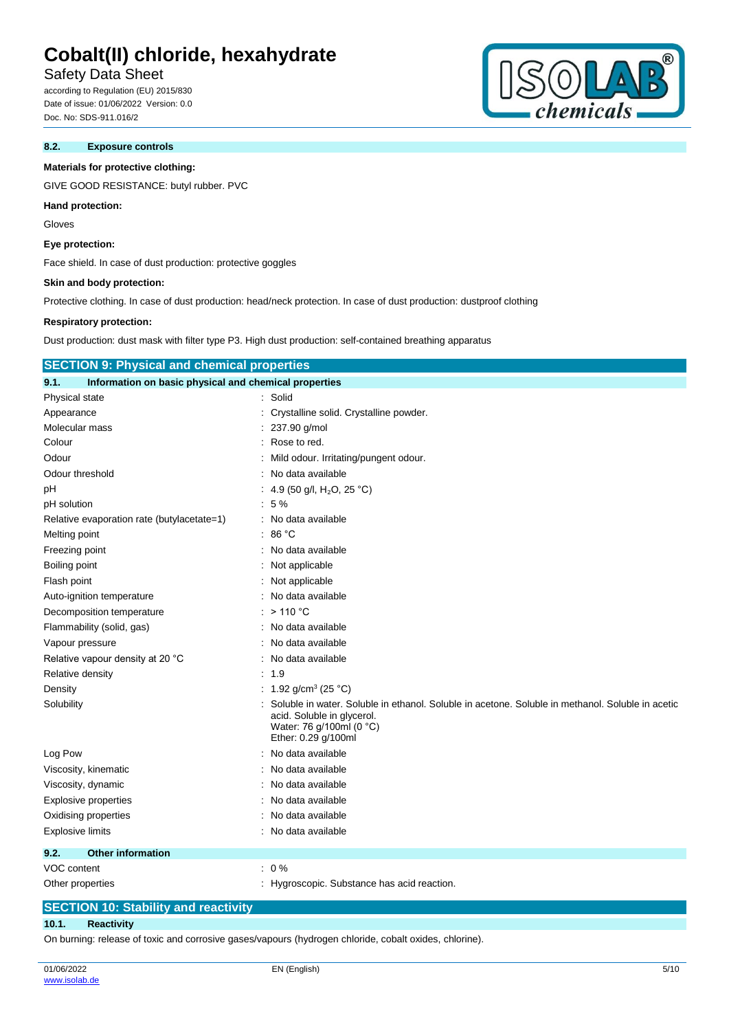# Safety Data Sheet

according to Regulation (EU) 2015/830 Date of issue: 01/06/2022 Version: 0.0 Doc. No: SDS-911.016/2

#### **8.2. Exposure controls**

# **Materials for protective clothing:**

GIVE GOOD RESISTANCE: butyl rubber. PVC

#### **Hand protection:**

Gloves

### **Eye protection:**

Face shield. In case of dust production: protective goggles

#### **Skin and body protection:**

Protective clothing. In case of dust production: head/neck protection. In case of dust production: dustproof clothing

#### **Respiratory protection:**

Dust production: dust mask with filter type P3. High dust production: self-contained breathing apparatus

| <b>SECTION 9: Physical and chemical properties</b>            |                                                                                                                                                                                   |  |
|---------------------------------------------------------------|-----------------------------------------------------------------------------------------------------------------------------------------------------------------------------------|--|
| Information on basic physical and chemical properties<br>9.1. |                                                                                                                                                                                   |  |
| Physical state                                                | : Solid                                                                                                                                                                           |  |
| Appearance                                                    | Crystalline solid. Crystalline powder.                                                                                                                                            |  |
| Molecular mass                                                | : 237.90 g/mol                                                                                                                                                                    |  |
| Colour                                                        | : Rose to red.                                                                                                                                                                    |  |
| Odour                                                         | Mild odour. Irritating/pungent odour.                                                                                                                                             |  |
| Odour threshold                                               | No data available                                                                                                                                                                 |  |
| рH                                                            | 4.9 (50 g/l, H <sub>2</sub> O, 25 °C)                                                                                                                                             |  |
| pH solution                                                   | :5%                                                                                                                                                                               |  |
| Relative evaporation rate (butylacetate=1)                    | : No data available                                                                                                                                                               |  |
| Melting point                                                 | : $86^{\circ}$ C                                                                                                                                                                  |  |
| Freezing point                                                | : No data available                                                                                                                                                               |  |
| Boiling point                                                 | Not applicable                                                                                                                                                                    |  |
| Flash point                                                   | : Not applicable                                                                                                                                                                  |  |
| Auto-ignition temperature                                     | No data available                                                                                                                                                                 |  |
| Decomposition temperature                                     | $>110$ °C                                                                                                                                                                         |  |
| Flammability (solid, gas)                                     | : No data available                                                                                                                                                               |  |
| Vapour pressure                                               | : No data available                                                                                                                                                               |  |
| Relative vapour density at 20 °C                              | No data available                                                                                                                                                                 |  |
| Relative density                                              | : 1.9                                                                                                                                                                             |  |
| Density                                                       | : 1.92 g/cm <sup>3</sup> (25 °C)                                                                                                                                                  |  |
| Solubility                                                    | Soluble in water. Soluble in ethanol. Soluble in acetone. Soluble in methanol. Soluble in acetic<br>acid. Soluble in glycerol.<br>Water: 76 g/100ml (0 °C)<br>Ether: 0.29 g/100ml |  |
| Log Pow                                                       | No data available                                                                                                                                                                 |  |
| Viscosity, kinematic                                          | No data available                                                                                                                                                                 |  |
| Viscosity, dynamic                                            | : No data available                                                                                                                                                               |  |
| <b>Explosive properties</b>                                   | : No data available                                                                                                                                                               |  |
| Oxidising properties                                          | No data available                                                                                                                                                                 |  |
| <b>Explosive limits</b>                                       | : No data available                                                                                                                                                               |  |
| <b>Other information</b><br>9.2.                              |                                                                                                                                                                                   |  |
| VOC content                                                   | $: 0\%$                                                                                                                                                                           |  |
| Other properties                                              | : Hygroscopic. Substance has acid reaction.                                                                                                                                       |  |

# **SECTION 10: Stability and reactivity**

### **10.1. Reactivity**

On burning: release of toxic and corrosive gases/vapours (hydrogen chloride, cobalt oxides, chlorine).

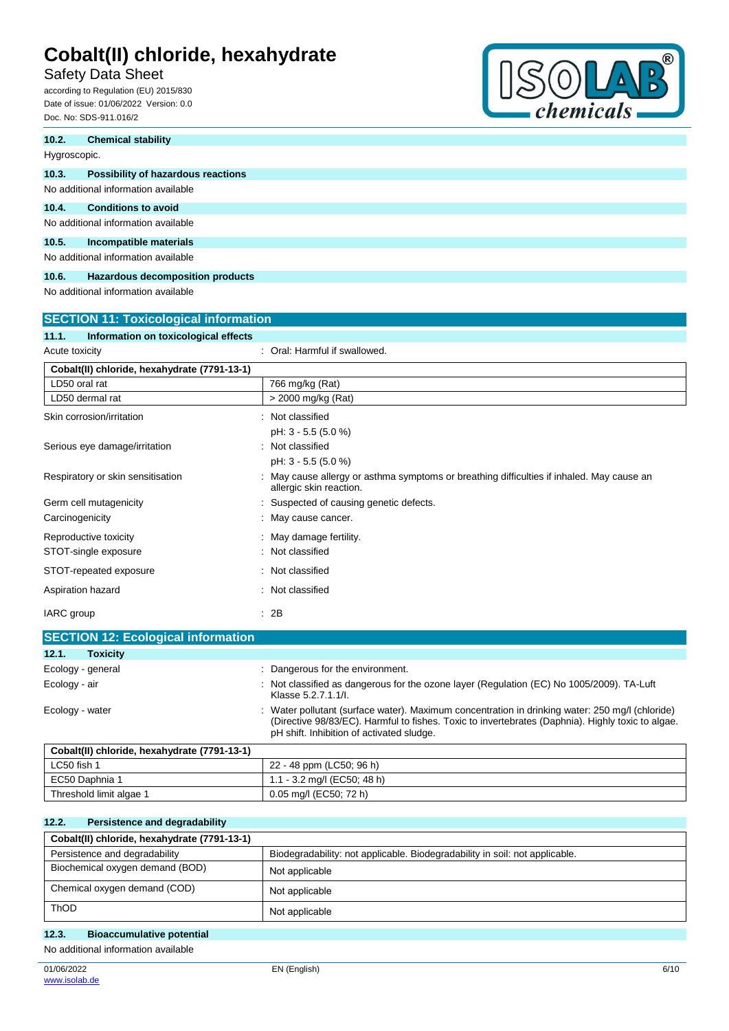# Safety Data Sheet

according to Regulation (EU) 2015/830 Date of issue: 01/06/2022 Version: 0.0 Doc. No: SDS-911.016/2



| 10.2.        | <b>Chemical stability</b>                    |
|--------------|----------------------------------------------|
| Hygroscopic. |                                              |
| 10.3.        | Possibility of hazardous reactions           |
|              | No additional information available          |
| 10.4.        | <b>Conditions to avoid</b>                   |
|              | No additional information available          |
| 10.5.        | Incompatible materials                       |
|              | No additional information available          |
| 10.6.        | <b>Hazardous decomposition products</b>      |
|              | No additional information available          |
|              | <b>SECTION 11: Toxicological information</b> |

| Information on toxicological effects<br>11.1. |                                                                                                                    |
|-----------------------------------------------|--------------------------------------------------------------------------------------------------------------------|
| Acute toxicity                                | : Oral: Harmful if swallowed.                                                                                      |
| Cobalt(II) chloride, hexahydrate (7791-13-1)  |                                                                                                                    |
| LD50 oral rat                                 | 766 mg/kg (Rat)                                                                                                    |
| LD50 dermal rat                               | > 2000 mg/kg (Rat)                                                                                                 |
| Skin corrosion/irritation                     | Not classified<br>t.                                                                                               |
|                                               | pH: 3 - 5.5 (5.0 %)                                                                                                |
| Serious eye damage/irritation                 | : Not classified                                                                                                   |
|                                               | pH: 3 - 5.5 (5.0 %)                                                                                                |
| Respiratory or skin sensitisation             | May cause allergy or asthma symptoms or breathing difficulties if inhaled. May cause an<br>allergic skin reaction. |
| Germ cell mutagenicity                        | Suspected of causing genetic defects.                                                                              |
| Carcinogenicity                               | May cause cancer.                                                                                                  |
| Reproductive toxicity                         | : May damage fertility.                                                                                            |
| STOT-single exposure                          | : Not classified                                                                                                   |
| STOT-repeated exposure                        | Not classified                                                                                                     |
| Aspiration hazard                             | Not classified<br>÷                                                                                                |
| IARC group                                    | : 2B                                                                                                               |

| <b>SECTION 12: Ecological information</b>    |                                                                                                                                                                                                                                                 |
|----------------------------------------------|-------------------------------------------------------------------------------------------------------------------------------------------------------------------------------------------------------------------------------------------------|
| <b>Toxicity</b><br>12.1.                     |                                                                                                                                                                                                                                                 |
| Ecology - general                            | : Dangerous for the environment.                                                                                                                                                                                                                |
| Ecology - air                                | : Not classified as dangerous for the ozone layer (Regulation (EC) No 1005/2009). TA-Luft<br>Klasse 5.2.7.1.1/l.                                                                                                                                |
| Ecology - water                              | Water pollutant (surface water). Maximum concentration in drinking water: 250 mg/l (chloride)<br>(Directive 98/83/EC). Harmful to fishes. Toxic to invertebrates (Daphnia). Highly toxic to algae.<br>pH shift. Inhibition of activated sludge. |
| Cobalt(II) chloride, hexahydrate (7791-13-1) |                                                                                                                                                                                                                                                 |
| .                                            | $\sim$ $\sim$<br>$\lambda$ $\lambda$ $\lambda$ $\lambda$ $\lambda$ $\lambda$ $\lambda$                                                                                                                                                          |

| ∟C50 fish 1             | 22 - 48 ppm (LC50; 96 h)      |
|-------------------------|-------------------------------|
| EC50 Daphnia 1          | $1.1 - 3.2$ mg/l (EC50; 48 h) |
| Threshold limit algae 1 | 0.05 mg/l (EC50; 72 h)        |

| 12.2.<br>Persistence and degradability       |                                                                             |
|----------------------------------------------|-----------------------------------------------------------------------------|
| Cobalt(II) chloride, hexahydrate (7791-13-1) |                                                                             |
| Persistence and degradability                | Biodegradability: not applicable. Biodegradability in soil: not applicable. |
| Biochemical oxygen demand (BOD)              | Not applicable                                                              |
| Chemical oxygen demand (COD)                 | Not applicable                                                              |
| <b>ThOD</b>                                  | Not applicable                                                              |

# **12.3. Bioaccumulative potential**

No additional information available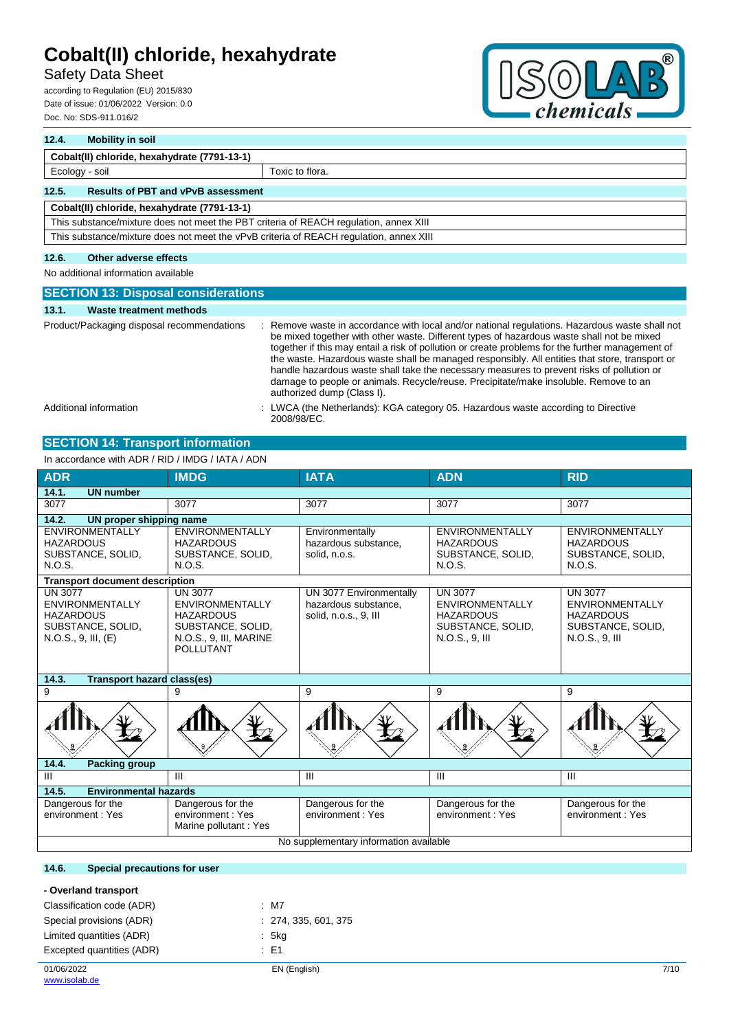# Safety Data Sheet

according to Regulation (EU) 2015/830 Date of issue: 01/06/2022 Version: 0.0 Doc. No: SDS-911.016/2



# **12.4. Mobility in soil Cobalt(II) chloride, hexahydrate (7791-13-1)** Ecology - soil Toxic to flora. **12.5. Results of PBT and vPvB assessment Cobalt(II) chloride, hexahydrate (7791-13-1)** This substance/mixture does not meet the PBT criteria of REACH regulation, annex XIII This substance/mixture does not meet the vPvB criteria of REACH regulation, annex XIII

### **12.6. Other adverse effects**

No additional information available

| <b>SECTION 13: Disposal considerations</b> |                                                                                                                                                                                                                                                                                                                                                                                                                                                                                                                                                                                                                    |  |  |
|--------------------------------------------|--------------------------------------------------------------------------------------------------------------------------------------------------------------------------------------------------------------------------------------------------------------------------------------------------------------------------------------------------------------------------------------------------------------------------------------------------------------------------------------------------------------------------------------------------------------------------------------------------------------------|--|--|
| <b>Waste treatment methods</b><br>13.1.    |                                                                                                                                                                                                                                                                                                                                                                                                                                                                                                                                                                                                                    |  |  |
| Product/Packaging disposal recommendations | Remove waste in accordance with local and/or national regulations. Hazardous waste shall not<br>be mixed together with other waste. Different types of hazardous waste shall not be mixed<br>together if this may entail a risk of pollution or create problems for the further management of<br>the waste. Hazardous waste shall be managed responsibly. All entities that store, transport or<br>handle hazardous waste shall take the necessary measures to prevent risks of pollution or<br>damage to people or animals. Recycle/reuse. Precipitate/make insoluble. Remove to an<br>authorized dump (Class I). |  |  |
| Additional information                     | : LWCA (the Netherlands): KGA category 05. Hazardous waste according to Directive<br>2008/98/EC.                                                                                                                                                                                                                                                                                                                                                                                                                                                                                                                   |  |  |

### **SECTION 14: Transport information**

In accordance with ADR / RID / IMDG / IATA / ADN

| <b>ADR</b>                                                                                                                                                                                                                           | <b>IMDG</b>                                                               | <b>IATA</b>                                                              | <b>ADN</b>                                                                                          | <b>RID</b>                                                                                          |
|--------------------------------------------------------------------------------------------------------------------------------------------------------------------------------------------------------------------------------------|---------------------------------------------------------------------------|--------------------------------------------------------------------------|-----------------------------------------------------------------------------------------------------|-----------------------------------------------------------------------------------------------------|
| 14.1.<br><b>UN number</b>                                                                                                                                                                                                            |                                                                           |                                                                          |                                                                                                     |                                                                                                     |
| 3077                                                                                                                                                                                                                                 | 3077                                                                      | 3077                                                                     | 3077                                                                                                | 3077                                                                                                |
| 14.2.<br>UN proper shipping name                                                                                                                                                                                                     |                                                                           |                                                                          |                                                                                                     |                                                                                                     |
| <b>ENVIRONMENTALLY</b><br><b>HAZARDOUS</b><br>SUBSTANCE, SOLID,<br>N.O.S.                                                                                                                                                            | <b>ENVIRONMENTALLY</b><br><b>HAZARDOUS</b><br>SUBSTANCE, SOLID,<br>N.O.S. | Environmentally<br>hazardous substance,<br>solid, n.o.s.                 | <b>ENVIRONMENTALLY</b><br><b>HAZARDOUS</b><br>SUBSTANCE, SOLID,<br>N.O.S.                           | <b>ENVIRONMENTALLY</b><br><b>HAZARDOUS</b><br>SUBSTANCE, SOLID,<br>N.O.S.                           |
| <b>Transport document description</b>                                                                                                                                                                                                |                                                                           |                                                                          |                                                                                                     |                                                                                                     |
| UN 3077<br><b>UN 3077</b><br><b>ENVIRONMENTALLY</b><br><b>ENVIRONMENTALLY</b><br><b>HAZARDOUS</b><br><b>HAZARDOUS</b><br>SUBSTANCE, SOLID,<br>SUBSTANCE, SOLID,<br>N.O.S., 9, III, MARINE<br>N.O.S., 9, III, (E)<br><b>POLLUTANT</b> |                                                                           | UN 3077 Environmentally<br>hazardous substance,<br>solid, n.o.s., 9, III | <b>UN 3077</b><br><b>ENVIRONMENTALLY</b><br><b>HAZARDOUS</b><br>SUBSTANCE, SOLID,<br>N.O.S., 9, III | <b>UN 3077</b><br><b>ENVIRONMENTALLY</b><br><b>HAZARDOUS</b><br>SUBSTANCE, SOLID,<br>N.O.S., 9, III |
| 14.3.<br><b>Transport hazard class(es)</b>                                                                                                                                                                                           |                                                                           |                                                                          |                                                                                                     |                                                                                                     |
| 9                                                                                                                                                                                                                                    | 9                                                                         | 9                                                                        | 9                                                                                                   | 9                                                                                                   |
|                                                                                                                                                                                                                                      | யப                                                                        |                                                                          |                                                                                                     |                                                                                                     |
| 14.4.<br>Packing group                                                                                                                                                                                                               |                                                                           |                                                                          |                                                                                                     |                                                                                                     |
| III                                                                                                                                                                                                                                  | $\mathbf{H}$                                                              | III                                                                      | Ш                                                                                                   | III                                                                                                 |
| <b>Environmental hazards</b><br>14.5.                                                                                                                                                                                                |                                                                           |                                                                          |                                                                                                     |                                                                                                     |
| Dangerous for the<br>environment: Yes                                                                                                                                                                                                | Dangerous for the<br>environment: Yes<br>Marine pollutant: Yes            | Dangerous for the<br>environment: Yes                                    | Dangerous for the<br>environment: Yes                                                               | Dangerous for the<br>environment: Yes                                                               |
| No supplementary information available                                                                                                                                                                                               |                                                                           |                                                                          |                                                                                                     |                                                                                                     |

### **14.6. Special precautions for user**

| - Overland transport      |                      |      |
|---------------------------|----------------------|------|
| Classification code (ADR) | $:$ M7               |      |
| Special provisions (ADR)  | : 274, 335, 601, 375 |      |
| Limited quantities (ADR)  | : 5kg                |      |
| Excepted quantities (ADR) | $\pm$ E1             |      |
| 01/06/2022                | EN (English)         | 7/10 |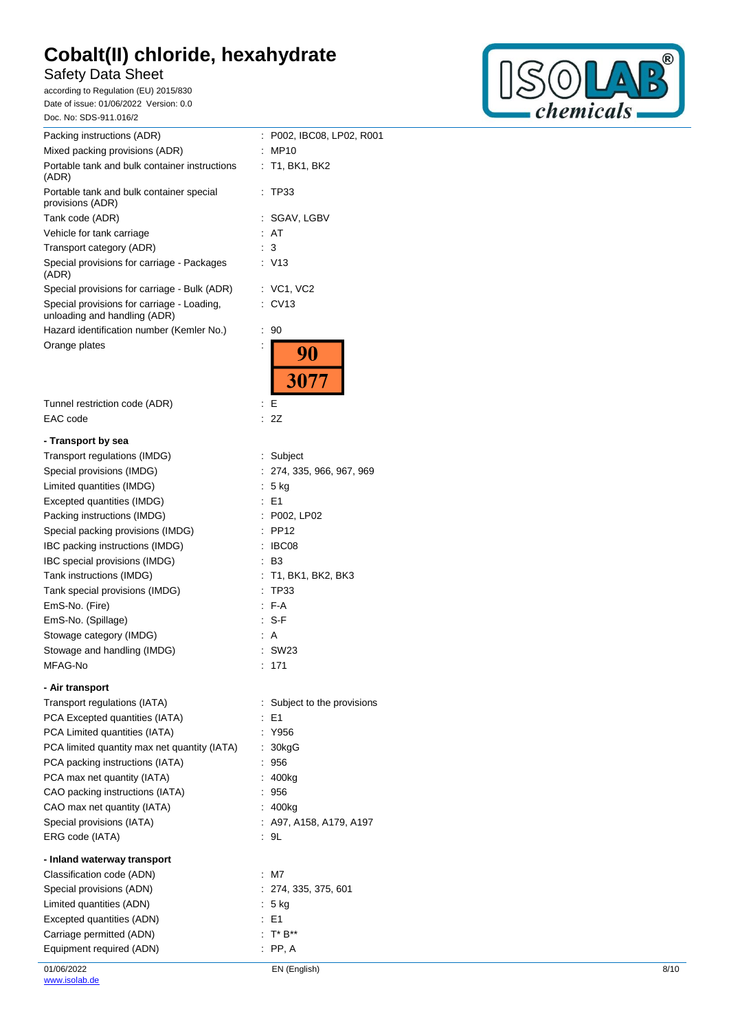# Safety Data Sheet

according to Regulation (EU) 2015/830 Date of issue: 01/06/2022 Version: 0.0 Doc. No: SDS -911.016/ 2



| Doc. No: SDS-911.016/2                                                     |                              |
|----------------------------------------------------------------------------|------------------------------|
| Packing instructions (ADR)                                                 | P002, IBC08, LP02, R001<br>÷ |
| Mixed packing provisions (ADR)                                             | MP10                         |
| Portable tank and bulk container instructions<br>(ADR)                     | T1, BK1, BK2<br>÷            |
| Portable tank and bulk container special<br>provisions (ADR)               | TP33                         |
| Tank code (ADR)                                                            | SGAV, LGBV                   |
| Vehicle for tank carriage                                                  | AT                           |
| Transport category (ADR)                                                   | 3                            |
| Special provisions for carriage - Packages<br>(ADR)                        | V13                          |
| Special provisions for carriage - Bulk (ADR)                               | : VC1, VC2                   |
| Special provisions for carriage - Loading,<br>unloading and handling (ADR) | CV <sub>13</sub><br>t.       |
| Hazard identification number (Kemler No.)                                  | t<br>90                      |
| Orange plates                                                              | İ<br>90                      |
|                                                                            | 3077                         |
| Tunnel restriction code (ADR)                                              | E<br>t                       |
| EAC code                                                                   | 2Z                           |
| - Transport by sea                                                         |                              |
| Transport regulations (IMDG)                                               | Subject<br>t.                |
| Special provisions (IMDG)                                                  | 274, 335, 966, 967, 969<br>÷ |
| Limited quantities (IMDG)                                                  | 5 kg<br>t                    |
| Excepted quantities (IMDG)                                                 | E1                           |
| Packing instructions (IMDG)                                                | P002, LP02                   |
| Special packing provisions (IMDG)                                          | <b>PP12</b>                  |
| IBC packing instructions (IMDG)                                            | IBC08                        |
| IBC special provisions (IMDG)                                              | B3                           |
| Tank instructions (IMDG)                                                   | T1, BK1, BK2, BK3            |
| Tank special provisions (IMDG)                                             | <b>TP33</b>                  |
| EmS-No. (Fire)                                                             | F-A                          |
| EmS-No. (Spillage)                                                         | S-F                          |
| Stowage category (IMDG)                                                    | A                            |
| Stowage and handling (IMDG)                                                | <b>SW23</b>                  |
| MFAG-No                                                                    | : 171                        |
| - Air transport                                                            |                              |
| Transport regulations (IATA)                                               | Subject to the provisions    |
| PCA Excepted quantities (IATA)                                             | $E = 1$                      |
| PCA Limited quantities (IATA)                                              | Y956<br>÷                    |
| PCA limited quantity max net quantity (IATA)                               | 30kgG<br>÷                   |
| PCA packing instructions (IATA)                                            | 956                          |
| PCA max net quantity (IATA)                                                | 400kg                        |
| CAO packing instructions (IATA)                                            | 956                          |
| CAO max net quantity (IATA)                                                | : 400kg                      |
| Special provisions (IATA)                                                  | : A97, A158, A179, A197      |
| ERG code (IATA)                                                            | : 9L                         |
| - Inland waterway transport                                                |                              |
| Classification code (ADN)                                                  | : M7                         |
| Special provisions (ADN)                                                   | : 274, 335, 375, 601         |
| Limited quantities (ADN)                                                   | $: 5$ kg                     |
| Excepted quantities (ADN)                                                  | : E1                         |
| Carriage permitted (ADN)                                                   | $T^* B^{**}$                 |
| Equipment required (ADN)                                                   | $\therefore$ PP, A           |
|                                                                            |                              |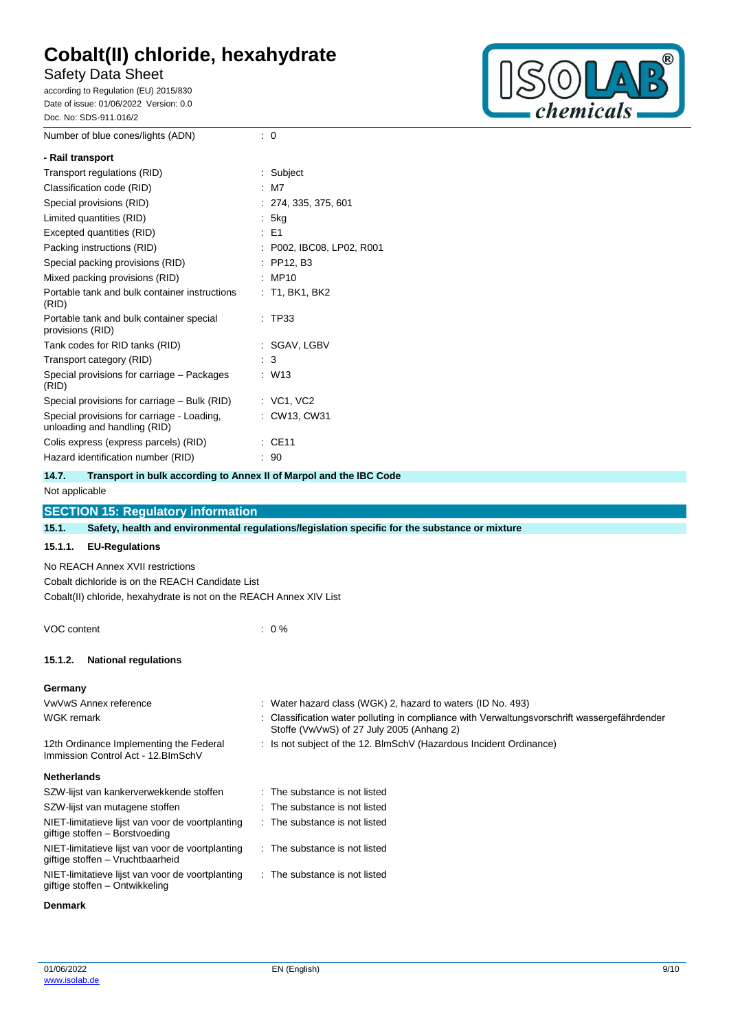Number of blue cones/lights (ADN) : 0

# Safety Data Sheet

according to Regulation (EU) 2015/830 Date of issue: 01/06/2022 Version: 0.0 Doc. No: SDS-911.016/2



| - Rail transport                                                           |  |                         |
|----------------------------------------------------------------------------|--|-------------------------|
| Transport regulations (RID)                                                |  | Subject                 |
| Classification code (RID)                                                  |  | M7                      |
| Special provisions (RID)                                                   |  | : 274, 335, 375, 601    |
| Limited quantities (RID)                                                   |  | : 5kg                   |
| Excepted quantities (RID)                                                  |  | $\pm$ E1                |
| Packing instructions (RID)                                                 |  | P002, IBC08, LP02, R001 |
| Special packing provisions (RID)                                           |  | PP12, B3                |
| Mixed packing provisions (RID)                                             |  | MP10                    |
| Portable tank and bulk container instructions<br>(RID)                     |  | : T1, BK1, BK2          |
| Portable tank and bulk container special<br>provisions (RID)               |  | TP33                    |
| Tank codes for RID tanks (RID)                                             |  | : SGAV, LGBV            |
| Transport category (RID)                                                   |  | $\therefore$ 3          |
| Special provisions for carriage - Packages<br>(RID)                        |  | $:$ W13                 |
| Special provisions for carriage – Bulk (RID)                               |  | : VC1, VC2              |
| Special provisions for carriage - Loading,<br>unloading and handling (RID) |  | CW13, CW31              |
| Colis express (express parcels) (RID)                                      |  | CE11                    |
| Hazard identification number (RID)                                         |  | 90                      |

**14.7. Transport in bulk according to Annex II of Marpol and the IBC Code**

### Not applicable

# **SECTION 15: Regulatory information 15.1. Safety, health and environmental regulations/legislation specific for the substance or mixture 15.1.1. EU-Regulations** No REACH Annex XVII restrictions Cobalt dichloride is on the REACH Candidate List Cobalt(II) chloride, hexahydrate is not on the REACH Annex XIV List VOC content : 0 %

### **15.1.2. National regulations**

### **Germany**

| VwVwS Annex reference                                                                | : Water hazard class (WGK) 2, hazard to waters (ID No. 493)                                                                               |
|--------------------------------------------------------------------------------------|-------------------------------------------------------------------------------------------------------------------------------------------|
| WGK remark                                                                           | : Classification water polluting in compliance with Verwaltungsvorschrift wassergefährdender<br>Stoffe (VwVwS) of 27 July 2005 (Anhang 2) |
| 12th Ordinance Implementing the Federal<br>Immission Control Act - 12. BlmSchV       | : Is not subject of the 12. BlmSchV (Hazardous Incident Ordinance)                                                                        |
| <b>Netherlands</b>                                                                   |                                                                                                                                           |
| SZW-lijst van kankerverwekkende stoffen                                              | $\therefore$ The substance is not listed                                                                                                  |
| SZW-lijst van mutagene stoffen                                                       | . The substance is not listed                                                                                                             |
| NIET-limitatieve lijst van voor de voortplanting<br>giftige stoffen - Borstvoeding   | $\therefore$ The substance is not listed                                                                                                  |
| NIET-limitatieve lijst van voor de voortplanting<br>giftige stoffen – Vruchtbaarheid | $\therefore$ The substance is not listed                                                                                                  |
| NIET-limitatieve lijst van voor de voortplanting<br>giftige stoffen – Ontwikkeling   | : The substance is not listed                                                                                                             |

### **Denmark**